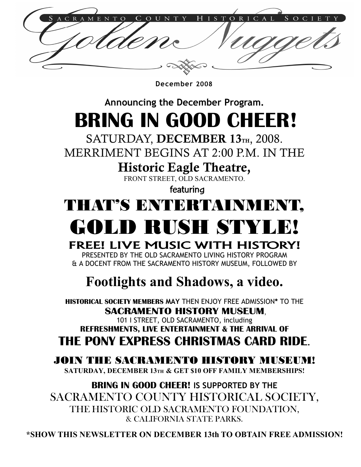December 2008

Announcing the December Program.

# BRING IN GOOD CHEER!

SATURDAY, DECEMBER 13TH, 2008.

MERRIMENT BEGINS AT 2:00 P.M. IN THE

Historic Eagle Theatre,

FRONT STREET, OLD SACRAMENTO.

featuring

## THAT'S ENTERTAINMENT,

# GOLD RUSH STYLE!

### FREE! LIVE MUSIC WITH HISTORY!

PRESENTED BY THE OLD SACRAMENTO LIVING HISTORY PROGRAM & A DOCENT FROM THE SACRAMENTO HISTORY MUSEUM, FOLLOWED BY

## Footlights and Shadows, a video.

HISTORICAL SOCIETY MEMBERS MAY THEN ENJOY FREE ADMISSION\* TO THE SACRAMENTO HISTORY MUSEUM,

101 I STREET, OLD SACRAMENTO, including REFRESHMENTS, LIVE ENTERTAINMENT & THE ARRIVAL OF THE PONY EXPRESS CHRISTMAS CARD RIDE.

### JOIN THE SACRAMENTO HISTORY MUSE

SATURDAY, DECEMBER 13TH & GET \$10 OFF FAMILY MEMBERSHIPS!

BRING IN GOOD CHEER! IS SUPPORTED BY THE SACRAMENTO COUNTY HISTORICAL SOCIETY, THE HISTORIC OLD SACRAMENTO FOUNDATION, & CALIFORNIA STATE PARKS.

\*SHOW THIS NEWSLETTER ON DECEMBER 13th TO OBTAIN FREE ADMISSION!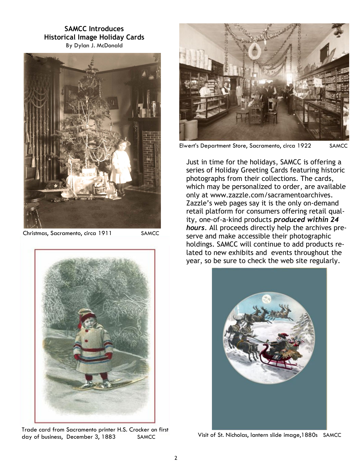SAMCC Introduces Historical Image Holiday Cards By Dylan J. McDonald



Christmas, Sacramento, circa 1911 SAMCC



Trade card from Sacramento printer H.S. Crocker on first day of business, December 3, 1883 SAMCC Visit of St. Nicholas, lantern slide image, 1880s SAMCC



Elwert's Department Store, Sacramento, circa 1922 SAMCC

Just in time for the holidays, SAMCC is offering a series of Holiday Greeting Cards featuring historic photographs from their collections. The cards, which may be personalized to order, are available only at www.zazzle.com/sacramentoarchives. Zazzle's web pages say it is the only on-demand retail platform for consumers offering retail quality, one-of-a-kind products produced within 24 hours. All proceeds directly help the archives preserve and make accessible their photographic holdings. SAMCC will continue to add products related to new exhibits and events throughout the year, so be sure to check the web site regularly.

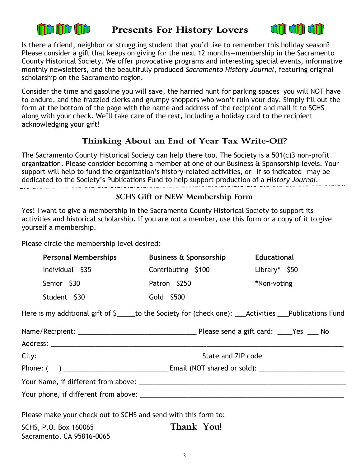

#### Presents For History Lovers



Is there a friend, neighbor or struggling student that you'd like to remember this holiday season? Please consider a gift that keeps on giving for the next 12 months—membership in the Sacramento County Historical Society. We offer provocative programs and interesting special events, informative monthly newsletters, and the beautifully produced Sacramento History Journal, featuring original scholarship on the Sacramento region.

Consider the time and gasoline you will save, the harried hunt for parking spaces you will NOT have to endure, and the frazzled clerks and grumpy shoppers who won't ruin your day. Simply fill out the form at the bottom of the page with the name and address of the recipient and mail it to SCHS along with your check. We'll take care of the rest, including a holiday card to the recipient acknowledging your gift!

#### Thinking About an End of Year Tax Write-Off?

The Sacramento County Historical Society can help there too. The Society is a 501(c)3 non-profit organization. Please consider becoming a member at one of our Business & Sponsorship levels. Your support will help to fund the organization's history-related activities, or—if so indicated—may be dedicated to the Society's Publications Fund to help support production of a History Journal.

#### SCHS Gift or NEW Membership Form

Yes! I want to give a membership in the Sacramento County Historical Society to support its activities and historical scholarship. If you are not a member, use this form or a copy of it to give yourself a membership.

Please circle the membership level desired:

| <b>Personal Memberships</b>                                    | <b>Business &amp; Sponsorship</b>                                                                       | <b>Educational</b> |  |
|----------------------------------------------------------------|---------------------------------------------------------------------------------------------------------|--------------------|--|
| Individual \$35                                                | Contributing \$100                                                                                      | Library* $$50$     |  |
| Senior \$30                                                    | Patron \$250                                                                                            | *Non-voting        |  |
| Student \$30                                                   | Gold \$500                                                                                              |                    |  |
|                                                                | Here is my additional gift of \$_____to the Society for (check one): ___Activities ___Publications Fund |                    |  |
|                                                                |                                                                                                         |                    |  |
|                                                                |                                                                                                         |                    |  |
|                                                                |                                                                                                         |                    |  |
|                                                                |                                                                                                         |                    |  |
|                                                                |                                                                                                         |                    |  |
|                                                                |                                                                                                         |                    |  |
| Please make your check out to SCHS and send with this form to: |                                                                                                         |                    |  |
| SCHS, P.O. Box 160065<br>Sacramento, CA 95816-0065             | Thank You!                                                                                              |                    |  |